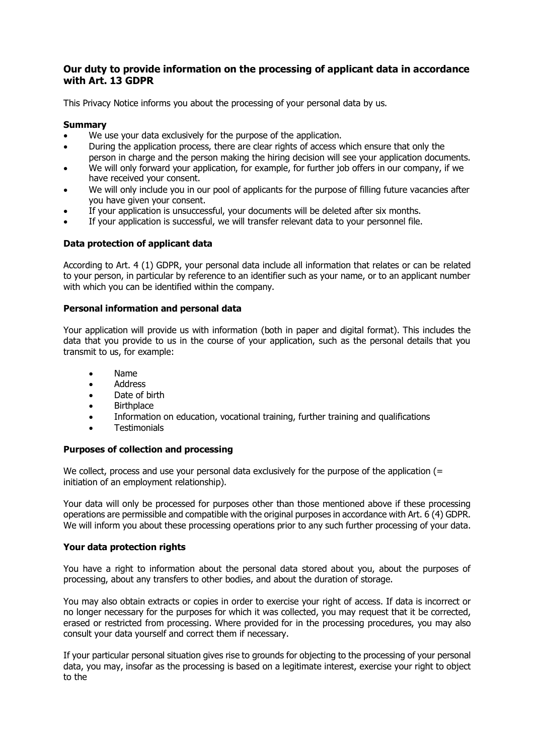# **Our duty to provide information on the processing of applicant data in accordance with Art. 13 GDPR**

This Privacy Notice informs you about the processing of your personal data by us.

# **Summary**

- We use your data exclusively for the purpose of the application.
- During the application process, there are clear rights of access which ensure that only the person in charge and the person making the hiring decision will see your application documents.
- We will only forward your application, for example, for further job offers in our company, if we have received your consent.
- We will only include you in our pool of applicants for the purpose of filling future vacancies after you have given your consent.
- If your application is unsuccessful, your documents will be deleted after six months.
- If your application is successful, we will transfer relevant data to your personnel file.

# **Data protection of applicant data**

According to Art. 4 (1) GDPR, your personal data include all information that relates or can be related to your person, in particular by reference to an identifier such as your name, or to an applicant number with which you can be identified within the company.

## **Personal information and personal data**

Your application will provide us with information (both in paper and digital format). This includes the data that you provide to us in the course of your application, such as the personal details that you transmit to us, for example:

- Name
- Address
- Date of birth
- Birthplace
- Information on education, vocational training, further training and qualifications
- **Testimonials**

## **Purposes of collection and processing**

We collect, process and use your personal data exclusively for the purpose of the application (= initiation of an employment relationship).

Your data will only be processed for purposes other than those mentioned above if these processing operations are permissible and compatible with the original purposes in accordance with Art. 6 (4) GDPR. We will inform you about these processing operations prior to any such further processing of your data.

## **Your data protection rights**

You have a right to information about the personal data stored about you, about the purposes of processing, about any transfers to other bodies, and about the duration of storage.

You may also obtain extracts or copies in order to exercise your right of access. If data is incorrect or no longer necessary for the purposes for which it was collected, you may request that it be corrected, erased or restricted from processing. Where provided for in the processing procedures, you may also consult your data yourself and correct them if necessary.

If your particular personal situation gives rise to grounds for objecting to the processing of your personal data, you may, insofar as the processing is based on a legitimate interest, exercise your right to object to the